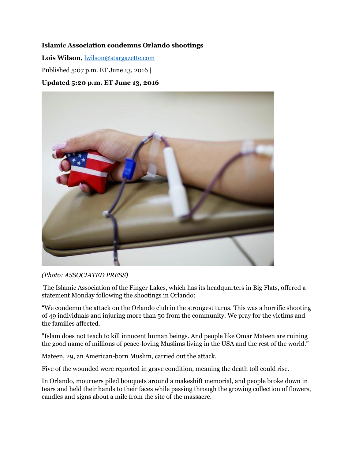## **Islamic Association condemns Orlando shootings**

**Lois Wilson,** [lwilson@stargazette.com](mailto:lwilson@stargazette.com)

Published 5:07 p.m. ET June 13, 2016 |

## **Updated 5:20 p.m. ET June 13, 2016**



*(Photo: ASSOCIATED PRESS)*

The Islamic Association of the Finger Lakes, which has its headquarters in Big Flats, offered a statement Monday following the shootings in Orlando:

"We condemn the attack on the Orlando club in the strongest turns. This was a horrific shooting of 49 individuals and injuring more than 50 from the community. We pray for the victims and the families affected.

"Islam does not teach to kill innocent human beings. And people like Omar Mateen are ruining the good name of millions of peace-loving Muslims living in the USA and the rest of the world."

Mateen, 29, an American-born Muslim, carried out the attack.

Five of the wounded were reported in grave condition, meaning the death toll could rise.

In Orlando, mourners piled bouquets around a makeshift memorial, and people broke down in tears and held their hands to their faces while passing through the growing collection of flowers, candles and signs about a mile from the site of the massacre.